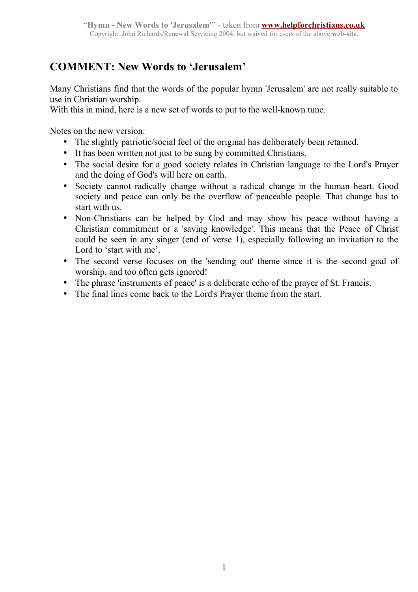## **COMMENT: New Words to 'Jerusalem'**

Many Christians find that the words of the popular hymn 'Jerusalem' are not really suitable to use in Christian worship.

With this in mind, here is a new set of words to put to the well-known tune.

Notes on the new version:

- The slightly patriotic/social feel of the original has deliberately been retained.
- It has been written not just to be sung by committed Christians.
- The social desire for a good society relates in Christian language to the Lord's Prayer and the doing of God's will here on earth.
- Society cannot radically change without a radical change in the human heart. Good society and peace can only be the overflow of peaceable people. That change has to start with us.
- Non-Christians can be helped by God and may show his peace without having a Christian commitment or a 'saving knowledge'. This means that the Peace of Christ could be seen in any singer (end of verse 1), especially following an invitation to the Lord to 'start with me'.
- The second verse focuses on the 'sending out' theme since it is the second goal of worship, and too often gets ignored!
- The phrase 'instruments of peace' is a deliberate echo of the prayer of St. Francis.
- The final lines come back to the Lord's Prayer theme from the start.